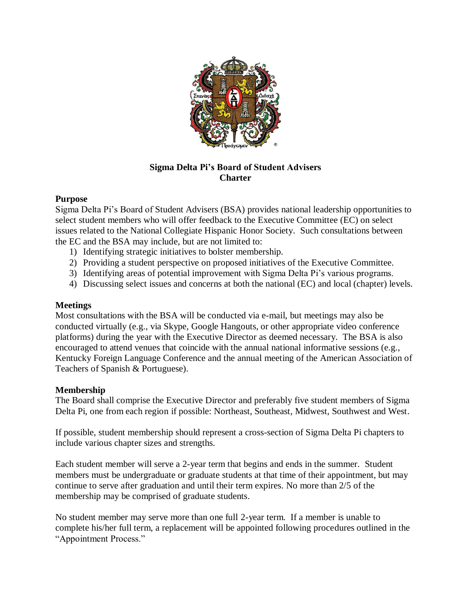

# **Sigma Delta Pi's Board of Student Advisers Charter**

## **Purpose**

Sigma Delta Pi's Board of Student Advisers (BSA) provides national leadership opportunities to select student members who will offer feedback to the Executive Committee (EC) on select issues related to the National Collegiate Hispanic Honor Society. Such consultations between the EC and the BSA may include, but are not limited to:

- 1) Identifying strategic initiatives to bolster membership.
- 2) Providing a student perspective on proposed initiatives of the Executive Committee.
- 3) Identifying areas of potential improvement with Sigma Delta Pi's various programs.
- 4) Discussing select issues and concerns at both the national (EC) and local (chapter) levels.

#### **Meetings**

Most consultations with the BSA will be conducted via e-mail, but meetings may also be conducted virtually (e.g., via Skype, Google Hangouts, or other appropriate video conference platforms) during the year with the Executive Director as deemed necessary. The BSA is also encouraged to attend venues that coincide with the annual national informative sessions (e.g., Kentucky Foreign Language Conference and the annual meeting of the American Association of Teachers of Spanish & Portuguese).

#### **Membership**

The Board shall comprise the Executive Director and preferably five student members of Sigma Delta Pi, one from each region if possible: Northeast, Southeast, Midwest, Southwest and West.

If possible, student membership should represent a cross-section of Sigma Delta Pi chapters to include various chapter sizes and strengths.

Each student member will serve a 2-year term that begins and ends in the summer. Student members must be undergraduate or graduate students at that time of their appointment, but may continue to serve after graduation and until their term expires. No more than 2/5 of the membership may be comprised of graduate students.

No student member may serve more than one full 2-year term. If a member is unable to complete his/her full term, a replacement will be appointed following procedures outlined in the "Appointment Process."